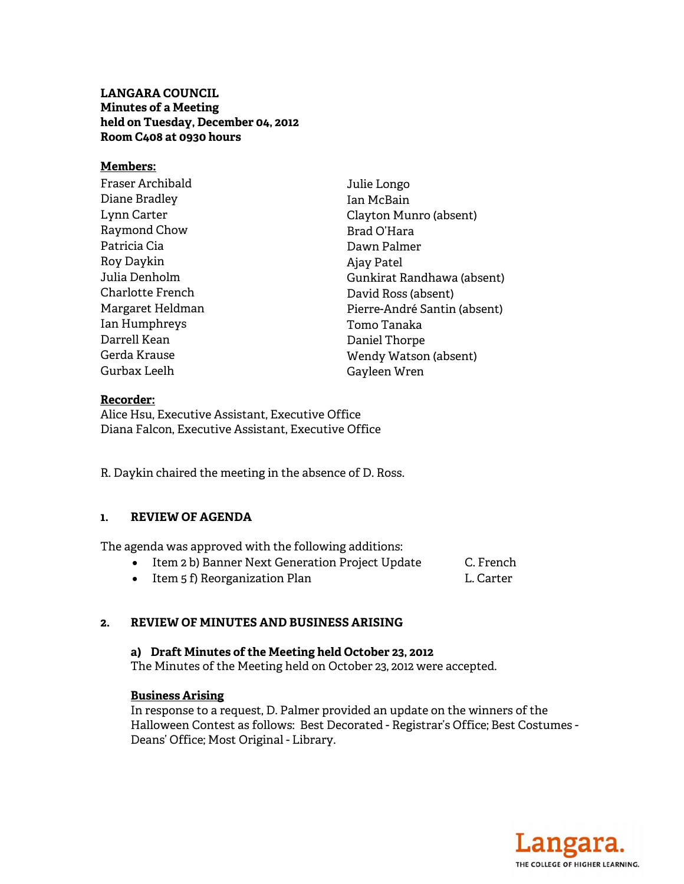# **LANGARA COUNCIL Minutes of a Meeting held on Tuesday, December 04, 2012 Room C408 at 0930 hours**

## **Members:**

| Fraser Archibald | Julie Longo                  |
|------------------|------------------------------|
| Diane Bradley    | Jan McBain                   |
| Lynn Carter      | Clayton Munro (absent)       |
| Raymond Chow     | Brad O'Hara                  |
| Patricia Cia     | Dawn Palmer                  |
| Roy Daykin       | Ajay Patel                   |
| Julia Denholm    | Gunkirat Randhawa (absent)   |
| Charlotte French | David Ross (absent)          |
| Margaret Heldman | Pierre-André Santin (absent) |
| Ian Humphreys    | Tomo Tanaka                  |
| Darrell Kean     | Daniel Thorpe                |
| Gerda Krause     | Wendy Watson (absent)        |
| Gurbax Leelh     | Gayleen Wren                 |

#### **Recorder:**

Alice Hsu, Executive Assistant, Executive Office Diana Falcon, Executive Assistant, Executive Office

R. Daykin chaired the meeting in the absence of D. Ross.

#### **1. REVIEW OF AGENDA**

The agenda was approved with the following additions:

- Item 2 b) Banner Next Generation Project Update C. French
- Item 5 f) Reorganization Plan L. Carter
- 

# **2. REVIEW OF MINUTES AND BUSINESS ARISING**

**a) Draft Minutes of the Meeting held October 23, 2012**  The Minutes of the Meeting held on October 23, 2012 were accepted.

#### **Business Arising**

In response to a request, D. Palmer provided an update on the winners of the Halloween Contest as follows: Best Decorated - Registrar's Office; Best Costumes - Deans' Office; Most Original - Library.

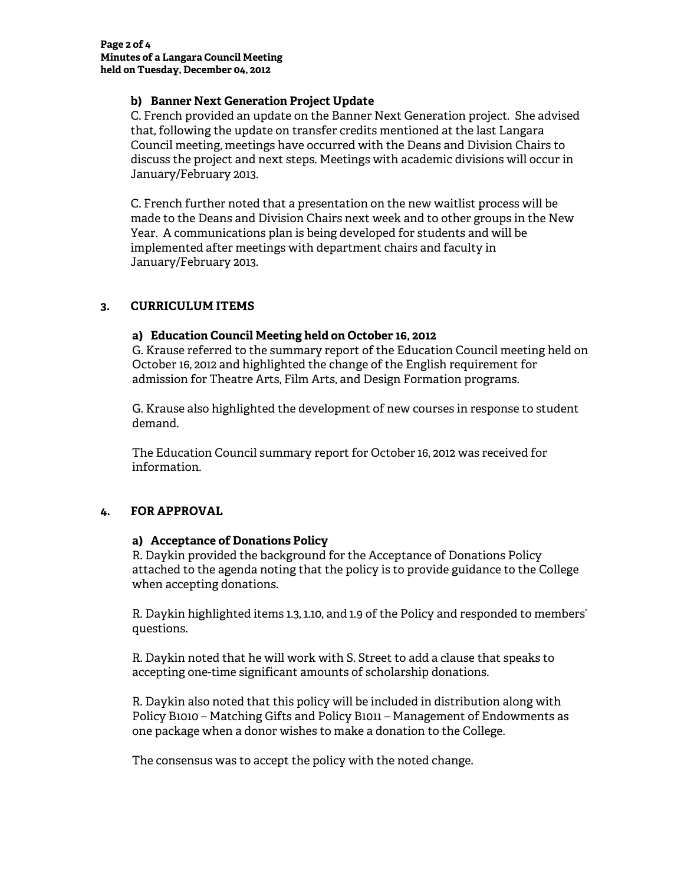## **b) Banner Next Generation Project Update**

C. French provided an update on the Banner Next Generation project. She advised that, following the update on transfer credits mentioned at the last Langara Council meeting, meetings have occurred with the Deans and Division Chairs to discuss the project and next steps. Meetings with academic divisions will occur in January/February 2013.

C. French further noted that a presentation on the new waitlist process will be made to the Deans and Division Chairs next week and to other groups in the New Year. A communications plan is being developed for students and will be implemented after meetings with department chairs and faculty in January/February 2013.

# **3. CURRICULUM ITEMS**

## **a) Education Council Meeting held on October 16, 2012**

G. Krause referred to the summary report of the Education Council meeting held on October 16, 2012 and highlighted the change of the English requirement for admission for Theatre Arts, Film Arts, and Design Formation programs.

G. Krause also highlighted the development of new courses in response to student demand.

The Education Council summary report for October 16, 2012 was received for information.

# **4. FOR APPROVAL**

#### **a) Acceptance of Donations Policy**

R. Daykin provided the background for the Acceptance of Donations Policy attached to the agenda noting that the policy is to provide guidance to the College when accepting donations.

R. Daykin highlighted items 1.3, 1.10, and 1.9 of the Policy and responded to members' questions.

R. Daykin noted that he will work with S. Street to add a clause that speaks to accepting one-time significant amounts of scholarship donations.

R. Daykin also noted that this policy will be included in distribution along with Policy B1010 – Matching Gifts and Policy B1011 – Management of Endowments as one package when a donor wishes to make a donation to the College.

The consensus was to accept the policy with the noted change.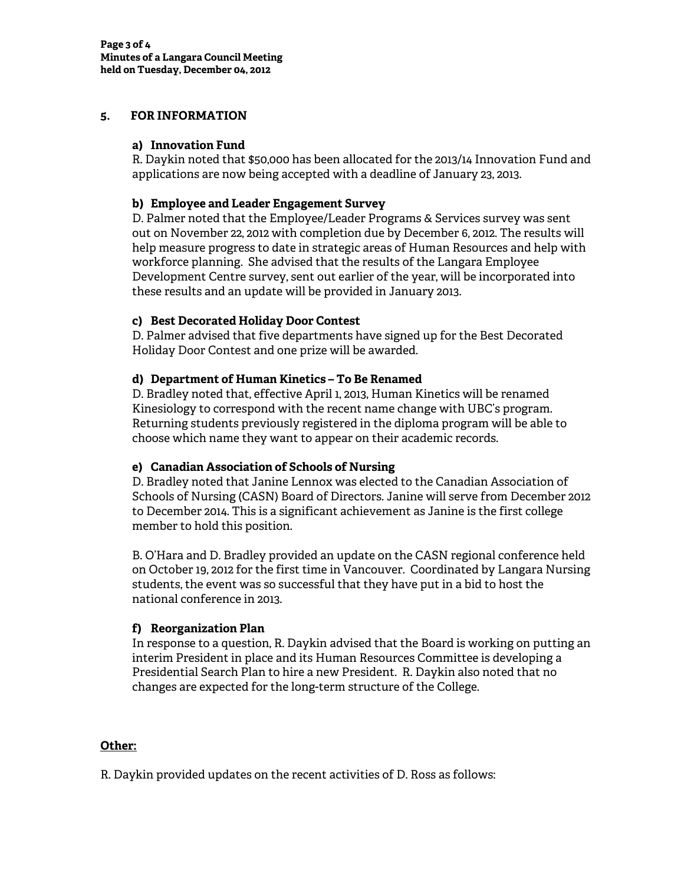## **5. FOR INFORMATION**

## **a) Innovation Fund**

R. Daykin noted that \$50,000 has been allocated for the 2013/14 Innovation Fund and applications are now being accepted with a deadline of January 23, 2013.

## **b) Employee and Leader Engagement Survey**

D. Palmer noted that the Employee/Leader Programs & Services survey was sent out on November 22, 2012 with completion due by December 6, 2012. The results will help measure progress to date in strategic areas of Human Resources and help with workforce planning. She advised that the results of the Langara Employee Development Centre survey, sent out earlier of the year, will be incorporated into these results and an update will be provided in January 2013.

## **c) Best Decorated Holiday Door Contest**

D. Palmer advised that five departments have signed up for the Best Decorated Holiday Door Contest and one prize will be awarded.

## **d) Department of Human Kinetics – To Be Renamed**

D. Bradley noted that, effective April 1, 2013, Human Kinetics will be renamed Kinesiology to correspond with the recent name change with UBC's program. Returning students previously registered in the diploma program will be able to choose which name they want to appear on their academic records.

# **e) Canadian Association of Schools of Nursing**

D. Bradley noted that Janine Lennox was elected to the Canadian Association of Schools of Nursing (CASN) Board of Directors. Janine will serve from December 2012 to December 2014. This is a significant achievement as Janine is the first college member to hold this position.

B. O'Hara and D. Bradley provided an update on the CASN regional conference held on October 19, 2012 for the first time in Vancouver. Coordinated by Langara Nursing students, the event was so successful that they have put in a bid to host the national conference in 2013.

# **f) Reorganization Plan**

In response to a question, R. Daykin advised that the Board is working on putting an interim President in place and its Human Resources Committee is developing a Presidential Search Plan to hire a new President. R. Daykin also noted that no changes are expected for the long-term structure of the College.

# **Other:**

R. Daykin provided updates on the recent activities of D. Ross as follows: